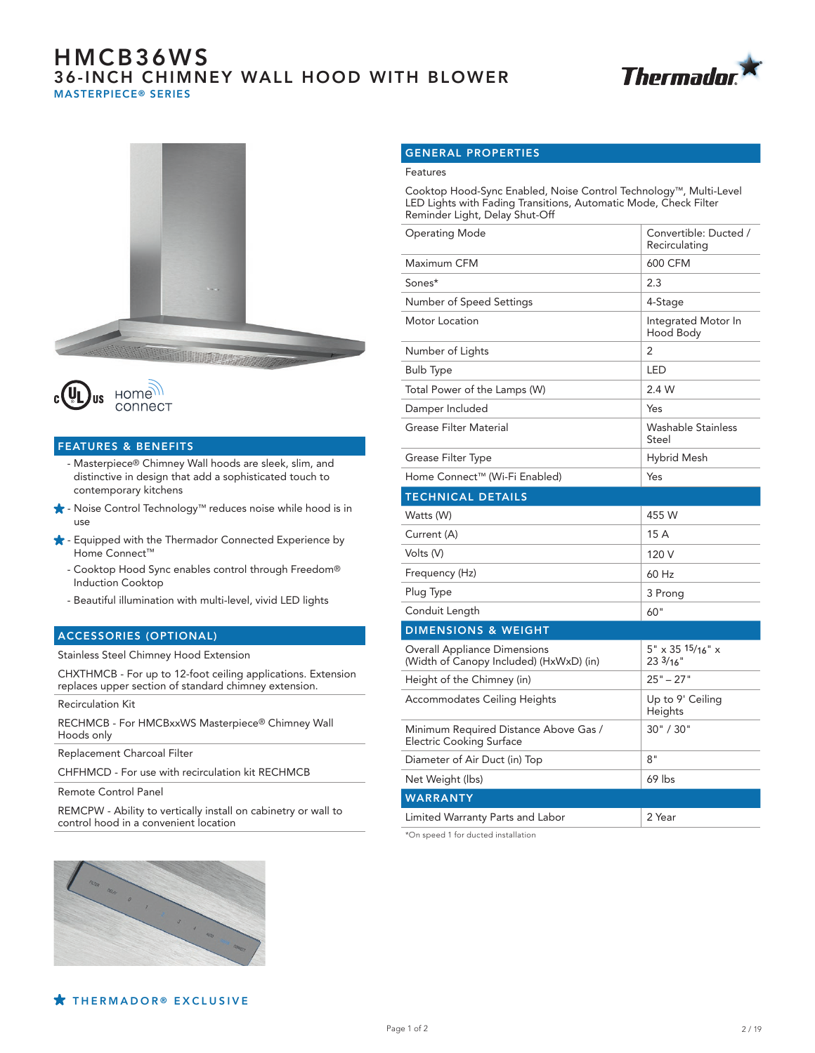# HMCB36WS 36-INCH CHIMNEY WALL HOOD WITH BLOWER MASTERPIECE® SERIES







#### FEATURES & BENEFITS

- Masterpiece® Chimney Wall hoods are sleek, slim, and distinctive in design that add a sophisticated touch to contemporary kitchens
- Noise Control Technology™ reduces noise while hood is in use
- $\bigstar$  Equipped with the Thermador Connected Experience by Home Connect™
	- Cooktop Hood Sync enables control through Freedom® Induction Cooktop
	- Beautiful illumination with multi-level, vivid LED lights

#### ACCESSORIES (OPTIONAL)

Stainless Steel Chimney Hood Extension

CHXTHMCB - For up to 12-foot ceiling applications. Extension replaces upper section of standard chimney extension.

Recirculation Kit

RECHMCB - For HMCBxxWS Masterpiece® Chimney Wall Hoods only

Replacement Charcoal Filter

CHFHMCD - For use with recirculation kit RECHMCB

Remote Control Panel

REMCPW - Ability to vertically install on cabinetry or wall to control hood in a convenient location

#### GENERAL PROPERTIES

#### Features

Cooktop Hood-Sync Enabled, Noise Control Technology™, Multi-Level LED Lights with Fading Transitions, Automatic Mode, Check Filter Reminder Light, Delay Shut-Off

| Operating Mode                                                                 | Convertible: Ducted /<br>Recirculating  |
|--------------------------------------------------------------------------------|-----------------------------------------|
| Maximum CFM                                                                    | 600 CFM                                 |
| Sones*                                                                         | 2.3                                     |
| Number of Speed Settings                                                       | 4-Stage                                 |
| Motor Location                                                                 | Integrated Motor In<br>Hood Body        |
| Number of Lights                                                               | 2                                       |
| <b>Bulb Type</b>                                                               | LED                                     |
| Total Power of the Lamps (W)                                                   | 2.4 W                                   |
| Damper Included                                                                | Yes                                     |
| <b>Grease Filter Material</b>                                                  | Washable Stainless<br>Steel             |
| Grease Filter Type                                                             | Hybrid Mesh                             |
| Home Connect™ (Wi-Fi Enabled)                                                  | Yes                                     |
| <b>TECHNICAL DETAILS</b>                                                       |                                         |
| Watts (W)                                                                      | 455 W                                   |
| Current (A)                                                                    | 15 A                                    |
| Volts (V)                                                                      | 120 V                                   |
| Frequency (Hz)                                                                 | 60 Hz                                   |
| Plug Type                                                                      | 3 Prong                                 |
| Conduit Length                                                                 | 60"                                     |
| <b>DIMENSIONS &amp; WEIGHT</b>                                                 |                                         |
| <b>Overall Appliance Dimensions</b><br>(Width of Canopy Included) (HxWxD) (in) | $5" \times 35'15/16" \times$<br>233/16" |
| Height of the Chimney (in)                                                     | $25" - 27"$                             |
| Accommodates Ceiling Heights                                                   | Up to 9' Ceiling<br>Heights             |
| Minimum Required Distance Above Gas /<br><b>Electric Cooking Surface</b>       | 30" / 30"                               |
| Diameter of Air Duct (in) Top                                                  | 8"                                      |
| Net Weight (lbs)                                                               | 69 lbs                                  |
| <b>WARRANTY</b>                                                                |                                         |
| Limited Warranty Parts and Labor                                               | 2 Year                                  |

\*On speed 1 for ducted installation